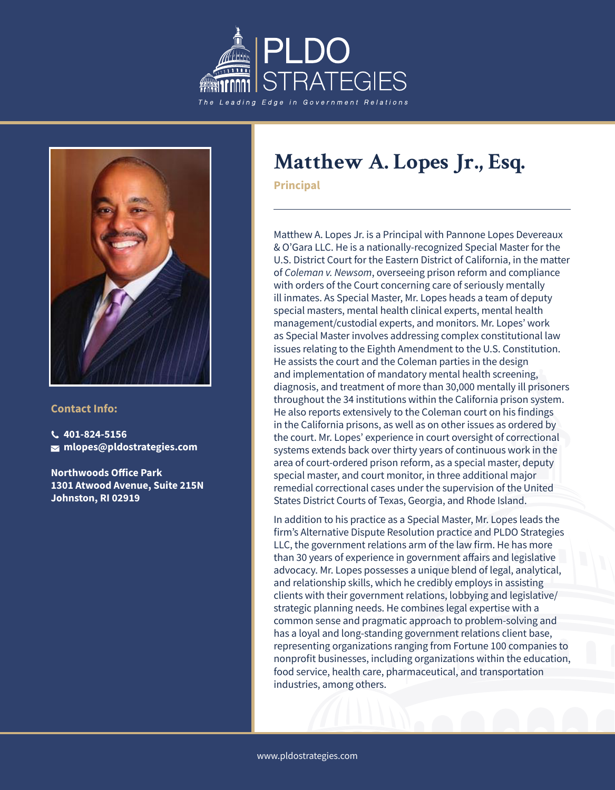



#### **Contact Info:**

**401-824-5156 mlopes@pldostrategies.com**

**Northwoods Office Park 1301 Atwood Avenue, Suite 215N Johnston, RI 02919**

# **Matthew A. Lopes Jr., Esq.**

**Principal**

Matthew A. Lopes Jr. is a Principal with Pannone Lopes Devereaux & O'Gara LLC. He is a nationally-recognized Special Master for the U.S. District Court for the Eastern District of California, in the matter of *Coleman v. Newsom*, overseeing prison reform and compliance with orders of the Court concerning care of seriously mentally ill inmates. As Special Master, Mr. Lopes heads a team of deputy special masters, mental health clinical experts, mental health management/custodial experts, and monitors. Mr. Lopes' work as Special Master involves addressing complex constitutional law issues relating to the Eighth Amendment to the U.S. Constitution. He assists the court and the Coleman parties in the design and implementation of mandatory mental health screening, diagnosis, and treatment of more than 30,000 mentally ill prisoners throughout the 34 institutions within the California prison system. He also reports extensively to the Coleman court on his findings in the California prisons, as well as on other issues as ordered by the court. Mr. Lopes' experience in court oversight of correctional systems extends back over thirty years of continuous work in the area of court-ordered prison reform, as a special master, deputy special master, and court monitor, in three additional major remedial correctional cases under the supervision of the United States District Courts of Texas, Georgia, and Rhode Island.

In addition to his practice as a Special Master, Mr. Lopes leads the firm's Alternative Dispute Resolution practice and PLDO Strategies LLC, the government relations arm of the law firm. He has more than 30 years of experience in government affairs and legislative advocacy. Mr. Lopes possesses a unique blend of legal, analytical, and relationship skills, which he credibly employs in assisting clients with their government relations, lobbying and legislative/ strategic planning needs. He combines legal expertise with a common sense and pragmatic approach to problem-solving and has a loyal and long-standing government relations client base, representing organizations ranging from Fortune 100 companies to nonprofit businesses, including organizations within the education, food service, health care, pharmaceutical, and transportation industries, among others.